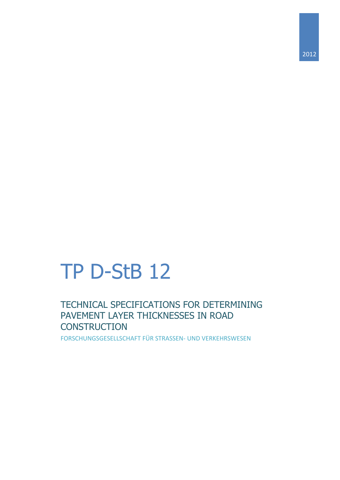# TP D-StB 12

TECHNICAL SPECIFICATIONS FOR DETERMINING PAVEMENT LAYER THICKNESSES IN ROAD **CONSTRUCTION** 

FORSCHUNGSGESELLSCHAFT FÜR STRASSEN- UND VERKEHRSWESEN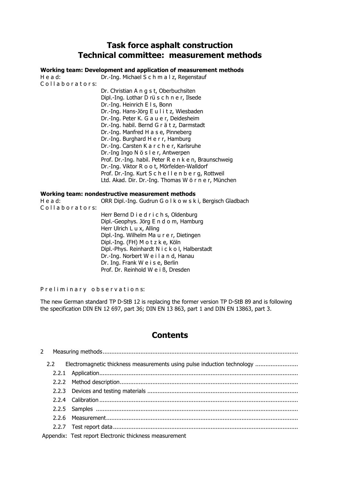# **Task force asphalt construction Technical committee: measurement methods**

#### **Working team: Development and application of measurement methods**

H e a d: Dr.-Ing. Michael S c h m a l z, Regenstauf Collaborators: Dr. Christian A n g s t, Oberbuchsiten Dipl.-Ing. Lothar D rü s c h n e r, Ilsede Dr.-Ing. Heinrich E l s, Bonn Dr.-Ing. Hans-Jörg E u l i t z, Wiesbaden Dr.-Ing. Peter K. G a u e r, Deidesheim Dr.-Ing. habil. Bernd G r ä t z, Darmstadt Dr.-Ing. Manfred H a s e, Pinneberg Dr.-Ing. Burghard H e r r, Hamburg Dr.-Ing. Carsten K a r c h e r, Karlsruhe Dr.-Ing Ingo N ö s l e r, Antwerpen Prof. Dr.-Ing. habil. Peter R e n k e n, Braunschweig Dr.-Ing. Viktor R o o t, Mörfelden-Walldorf Prof. Dr.-Ing. Kurt S c h e l l e n b e r g, Rottweil Ltd. Akad. Dir. Dr.-Ing. Thomas W ö r n e r, München

#### **Working team: nondestructive measurement methods**

H e a d: ORR Dipl.-Ing. Gudrun G o l k o w s k i, Bergisch Gladbach Collaborators: Herr Bernd D i e d r i c h s, Oldenburg Dipl.-Geophys. Jörg E n d o m, Hamburg Herr Ulrich L u x, Alling Dipl.-Ing. Wilhelm Ma u r e r, Dietingen Dipl.-Ing. (FH) M o t z k e, Köln Dipl.-Phys. Reinhardt N i c k o l, Halberstadt Dr.-Ing. Norbert W e i l a n d, Hanau Dr. Ing. Frank W e i s e, Berlin Prof. Dr. Reinhold W e i ß, Dresden

P r e l i m i n a r y o b s e r v a t i o n s:

The new German standard TP D-StB 12 is replacing the former version TP D-StB 89 and is following the specification DIN EN 12 697, part 36; DIN EN 13 863, part 1 and DIN EN 13863, part 3.

# **Contents**

| 2.2 Electromagnetic thickness measurements using pulse induction technology |
|-----------------------------------------------------------------------------|
|                                                                             |
|                                                                             |
|                                                                             |
|                                                                             |
|                                                                             |
|                                                                             |
|                                                                             |
| Appendix: Test report Electronic thickness measurement                      |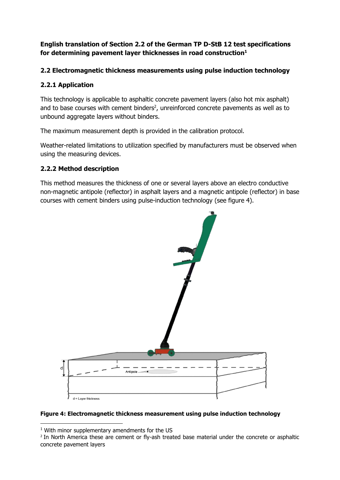# **English translation of Section 2.2 of the German TP D-StB 12 test specifications for determining pavement layer thicknesses in road construction<sup>1</sup>**

# **2.2 Electromagnetic thickness measurements using pulse induction technology**

# **2.2.1 Application**

This technology is applicable to asphaltic concrete pavement layers (also hot mix asphalt) and to base courses with cement binders<sup>2</sup>, unreinforced concrete pavements as well as to unbound aggregate layers without binders.

The maximum measurement depth is provided in the calibration protocol.

Weather-related limitations to utilization specified by manufacturers must be observed when using the measuring devices.

# **2.2.2 Method description**

This method measures the thickness of one or several layers above an electro conductive non-magnetic antipole (reflector) in asphalt layers and a magnetic antipole (reflector) in base courses with cement binders using pulse-induction technology (see figure 4).



#### **Figure 4: Electromagnetic thickness measurement using pulse induction technology**

**.** 

<sup>&</sup>lt;sup>1</sup> With minor supplementary amendments for the US

<sup>2</sup> In North America these are cement or fly-ash treated base material under the concrete or asphaltic concrete pavement layers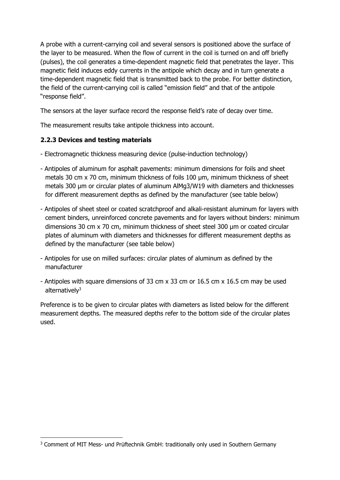A probe with a current-carrying coil and several sensors is positioned above the surface of the layer to be measured. When the flow of current in the coil is turned on and off briefly (pulses), the coil generates a time-dependent magnetic field that penetrates the layer. This magnetic field induces eddy currents in the antipole which decay and in turn generate a time-dependent magnetic field that is transmitted back to the probe. For better distinction, the field of the current-carrying coil is called "emission field" and that of the antipole "response field".

The sensors at the layer surface record the response field's rate of decay over time.

The measurement results take antipole thickness into account.

# **2.2.3 Devices and testing materials**

**.** 

- Electromagnetic thickness measuring device (pulse-induction technology)
- Antipoles of aluminum for asphalt pavements: minimum dimensions for foils and sheet metals 30 cm x 70 cm, minimum thickness of foils 100  $\mu$ m, minimum thickness of sheet metals 300 µm or circular plates of aluminum AlMg3/W19 with diameters and thicknesses for different measurement depths as defined by the manufacturer (see table below)
- Antipoles of sheet steel or coated scratchproof and alkali-resistant aluminum for layers with cement binders, unreinforced concrete pavements and for layers without binders: minimum dimensions 30 cm x 70 cm, minimum thickness of sheet steel 300 µm or coated circular plates of aluminum with diameters and thicknesses for different measurement depths as defined by the manufacturer (see table below)
- Antipoles for use on milled surfaces: circular plates of aluminum as defined by the manufacturer
- Antipoles with square dimensions of 33 cm x 33 cm or 16.5 cm x 16.5 cm may be used alternatively<sup>3</sup>

Preference is to be given to circular plates with diameters as listed below for the different measurement depths. The measured depths refer to the bottom side of the circular plates used.

<sup>&</sup>lt;sup>3</sup> Comment of MIT Mess- und Prüftechnik GmbH: traditionally only used in Southern Germany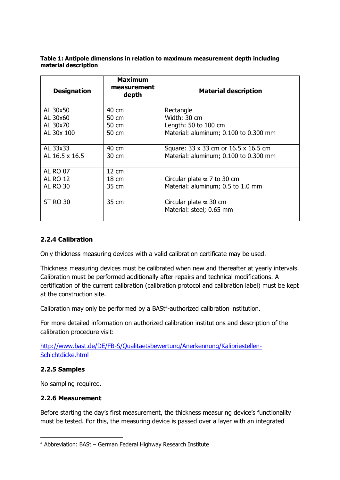**Table 1: Antipole dimensions in relation to maximum measurement depth including material description**

| <b>Designation</b> | <b>Maximum</b><br>measurement<br>depth | <b>Material description</b>                               |  |  |  |
|--------------------|----------------------------------------|-----------------------------------------------------------|--|--|--|
| AL 30x50           | 40 cm                                  | Rectangle                                                 |  |  |  |
| AL 30x60           | 50 cm                                  | Width: 30 cm                                              |  |  |  |
| AL 30x70           | 50 cm                                  | Length: 50 to 100 cm                                      |  |  |  |
| AL 30x 100         | 50 cm                                  | Material: aluminum; 0.100 to 0.300 mm                     |  |  |  |
| AL 33x33           | 40 cm                                  | Square: 33 x 33 cm or 16.5 x 16.5 cm                      |  |  |  |
| AL 16.5 x 16.5     | $30 \text{ cm}$                        | Material: aluminum; 0.100 to 0.300 mm                     |  |  |  |
| <b>AL RO 07</b>    | $12 \text{ cm}$                        |                                                           |  |  |  |
| <b>AL RO 12</b>    | 18 cm                                  | Circular plate $\infty$ 7 to 30 cm                        |  |  |  |
| <b>AL RO 30</b>    | 35 cm                                  | Material: aluminum; 0.5 to 1.0 mm                         |  |  |  |
| <b>ST RO 30</b>    | 35 cm                                  | Circular plate $\infty$ 30 cm<br>Material: steel; 0.65 mm |  |  |  |

# **2.2.4 Calibration**

Only thickness measuring devices with a valid calibration certificate may be used.

Thickness measuring devices must be calibrated when new and thereafter at yearly intervals. Calibration must be performed additionally after repairs and technical modifications. A certification of the current calibration (calibration protocol and calibration label) must be kept at the construction site.

Calibration may only be performed by a BASt<sup>4</sup>-authorized calibration institution.

For more detailed information on authorized calibration institutions and description of the calibration procedure visit:

[http://www.bast.de/DE/FB-S/Qualitaetsbewertung/Anerkennung/Kalibriestellen-](http://www.bast.de/DE/FB-S/Qualitaetsbewertung/Anerkennung/Kalibriestellen-Schichtdicke.html)[Schichtdicke.html](http://www.bast.de/DE/FB-S/Qualitaetsbewertung/Anerkennung/Kalibriestellen-Schichtdicke.html)

# **2.2.5 Samples**

**.** 

No sampling required.

# **2.2.6 Measurement**

Before starting the day's first measurement, the thickness measuring device's functionality must be tested. For this, the measuring device is passed over a layer with an integrated

<sup>4</sup> Abbreviation: BASt – German Federal Highway Research Institute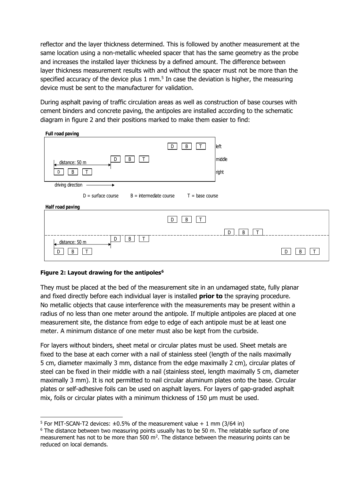reflector and the layer thickness determined. This is followed by another measurement at the same location using a non-metallic wheeled spacer that has the same geometry as the probe and increases the installed layer thickness by a defined amount. The difference between layer thickness measurement results with and without the spacer must not be more than the specified accuracy of the device plus  $1 \text{ mm}$ .<sup>5</sup> In case the deviation is higher, the measuring device must be sent to the manufacturer for validation.

During asphalt paving of traffic circulation areas as well as construction of base courses with cement binders and concrete paving, the antipoles are installed according to the schematic diagram in figure 2 and their positions marked to make them easier to find:

| Full road paving                                                       |        |             |        |  |  |  |
|------------------------------------------------------------------------|--------|-------------|--------|--|--|--|
|                                                                        | B<br>D | left        |        |  |  |  |
| $\mathsf T$<br>B<br>D<br>distance: 50 m                                |        | middle      |        |  |  |  |
| B<br>D                                                                 |        | right       |        |  |  |  |
| driving direction                                                      |        |             |        |  |  |  |
| $B =$ intermediate course<br>$D = surface course$<br>$T = base course$ |        |             |        |  |  |  |
| <b>Half road paving</b>                                                |        |             |        |  |  |  |
|                                                                        | B<br>D |             |        |  |  |  |
|                                                                        |        | B<br>Τ<br>D |        |  |  |  |
| $\mathsf{T}$<br>B<br>D<br>distance: 50 m                               |        |             |        |  |  |  |
| B<br>D                                                                 |        |             | B<br>D |  |  |  |

# **Figure 2: Layout drawing for the antipoles<sup>6</sup>**

1

They must be placed at the bed of the measurement site in an undamaged state, fully planar and fixed directly before each individual layer is installed **prior to** the spraying procedure. No metallic objects that cause interference with the measurements may be present within a radius of no less than one meter around the antipole. If multiple antipoles are placed at one measurement site, the distance from edge to edge of each antipole must be at least one meter. A minimum distance of one meter must also be kept from the curbside.

For layers without binders, sheet metal or circular plates must be used. Sheet metals are fixed to the base at each corner with a nail of stainless steel (length of the nails maximally 5 cm, diameter maximally 3 mm, distance from the edge maximally 2 cm), circular plates of steel can be fixed in their middle with a nail (stainless steel, length maximally 5 cm, diameter maximally 3 mm). It is not permitted to nail circular aluminum plates onto the base. Circular plates or self-adhesive foils can be used on asphalt layers. For layers of gap-graded asphalt mix, foils or circular plates with a minimum thickness of 150 µm must be used.

<sup>&</sup>lt;sup>5</sup> For MIT-SCAN-T2 devices:  $\pm 0.5\%$  of the measurement value + 1 mm (3/64 in)

<sup>&</sup>lt;sup>6</sup> The distance between two measuring points usually has to be 50 m. The relatable surface of one measurement has not to be more than  $500 \text{ m}^2$ . The distance between the measuring points can be reduced on local demands.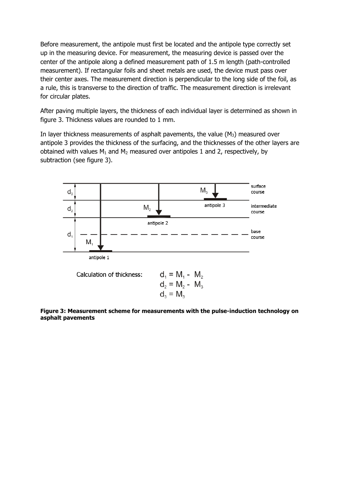Before measurement, the antipole must first be located and the antipole type correctly set up in the measuring device. For measurement, the measuring device is passed over the center of the antipole along a defined measurement path of 1.5 m length (path-controlled measurement). If rectangular foils and sheet metals are used, the device must pass over their center axes. The measurement direction is perpendicular to the long side of the foil, as a rule, this is transverse to the direction of traffic. The measurement direction is irrelevant for circular plates.

After paving multiple layers, the thickness of each individual layer is determined as shown in figure 3. Thickness values are rounded to 1 mm.

In layer thickness measurements of asphalt pavements, the value  $(M_3)$  measured over antipole 3 provides the thickness of the surfacing, and the thicknesses of the other layers are obtained with values  $M_1$  and  $M_2$  measured over antipoles 1 and 2, respectively, by subtraction (see figure 3).



**Figure 3: Measurement scheme for measurements with the pulse-induction technology on asphalt pavements**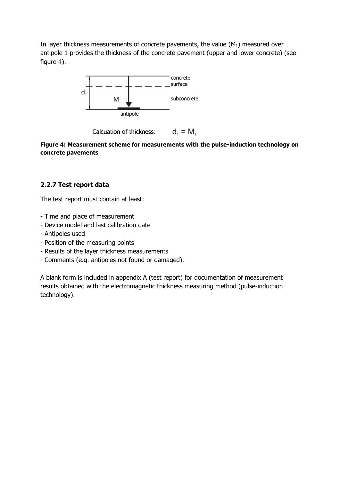In layer thickness measurements of concrete pavements, the value  $(M_1)$  measured over antipole 1 provides the thickness of the concrete pavement (upper and lower concrete) (see figure 4).



 $d_1 = M_1$ Calcuation of thickness:

**Figure 4: Measurement scheme for measurements with the pulse-induction technology on concrete pavements**

# **2.2.7 Test report data**

The test report must contain at least:

- Time and place of measurement
- Device model and last calibration date
- Antipoles used
- Position of the measuring points
- Results of the layer thickness measurements
- Comments (e.g. antipoles not found or damaged).

A blank form is included in appendix A (test report) for documentation of measurement results obtained with the electromagnetic thickness measuring method (pulse-induction technology).